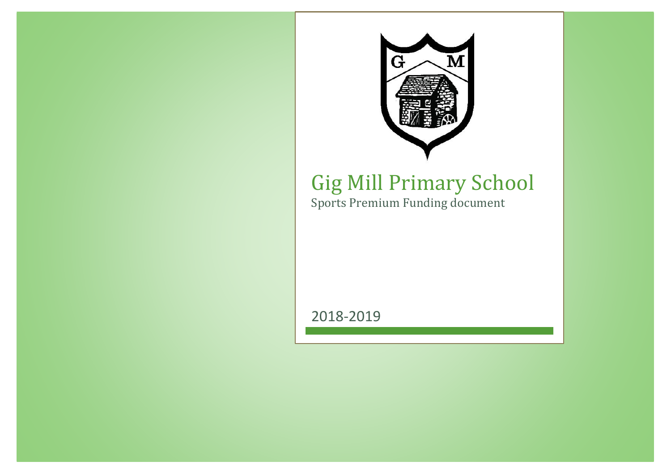

## Gig Mill Primary School

Sports Premium Funding document

2018-2019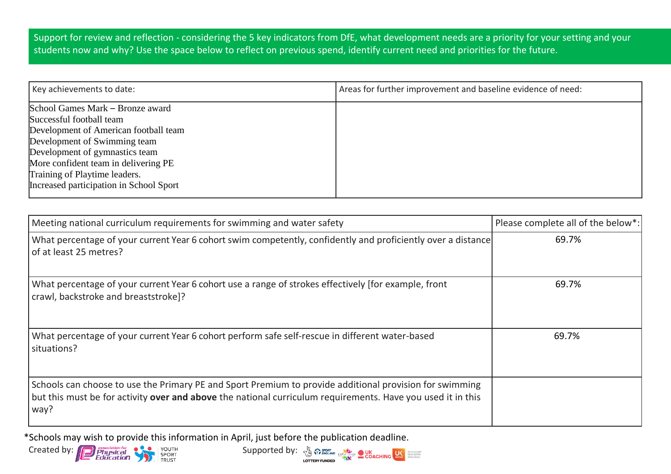Support for review and reflection - considering the 5 key indicators from DfE, what development needs are a priority for your setting and your students now and why? Use the space below to reflect on previous spend, identify current need and priorities for the future.

| Key achievements to date:               | Areas for further improvement and baseline evidence of need: |
|-----------------------------------------|--------------------------------------------------------------|
| School Games Mark – Bronze award        |                                                              |
| Successful football team                |                                                              |
| Development of American football team   |                                                              |
| Development of Swimming team            |                                                              |
| Development of gymnastics team          |                                                              |
| More confident team in delivering PE    |                                                              |
| Training of Playtime leaders.           |                                                              |
| Increased participation in School Sport |                                                              |

| Meeting national curriculum requirements for swimming and water safety                                                                                                                                                         | Please complete all of the below*: |
|--------------------------------------------------------------------------------------------------------------------------------------------------------------------------------------------------------------------------------|------------------------------------|
| What percentage of your current Year 6 cohort swim competently, confidently and proficiently over a distance<br>of at least 25 metres?                                                                                         | 69.7%                              |
| What percentage of your current Year 6 cohort use a range of strokes effectively [for example, front<br>crawl, backstroke and breaststroke]?                                                                                   | 69.7%                              |
| What percentage of your current Year 6 cohort perform safe self-rescue in different water-based<br>situations?                                                                                                                 | 69.7%                              |
| Schools can choose to use the Primary PE and Sport Premium to provide additional provision for swimming<br>but this must be for activity over and above the national curriculum requirements. Have you used it in this<br>way? |                                    |

\*Schools may wish to provide this information in April, just before the publication deadline.



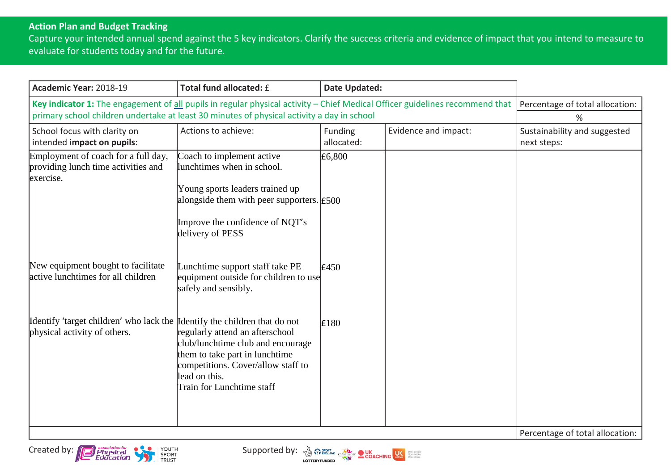## **Action Plan and Budget Tracking**

Capture your intended annual spend against the 5 key indicators. Clarify the success criteria and evidence of impact that you intend to measure to evaluate for students today and for the future.

| Academic Year: 2018-19                                                                                                                                                                                                       | Total fund allocated: £                                                                                                                                                                                   | Date Updated:         |                      |                                             |
|------------------------------------------------------------------------------------------------------------------------------------------------------------------------------------------------------------------------------|-----------------------------------------------------------------------------------------------------------------------------------------------------------------------------------------------------------|-----------------------|----------------------|---------------------------------------------|
| Key indicator 1: The engagement of all pupils in regular physical activity $-$ Chief Medical Officer guidelines recommend that<br>primary school children undertake at least 30 minutes of physical activity a day in school | Percentage of total allocation:<br>%                                                                                                                                                                      |                       |                      |                                             |
| School focus with clarity on<br>intended impact on pupils:                                                                                                                                                                   | Actions to achieve:                                                                                                                                                                                       | Funding<br>allocated: | Evidence and impact: | Sustainability and suggested<br>next steps: |
| Employment of coach for a full day,<br>providing lunch time activities and<br>exercise.                                                                                                                                      | Coach to implement active<br>lunchtimes when in school.<br>Young sports leaders trained up<br>alongside them with peer supporters. $\textsf{F}500$<br>Improve the confidence of NQT's<br>delivery of PESS | £6,800                |                      |                                             |
| New equipment bought to facilitate<br>active lunchtimes for all children                                                                                                                                                     | Lunchtime support staff take PE<br>equipment outside for children to use<br>safely and sensibly.                                                                                                          | E450                  |                      |                                             |
| Identify 'target children' who lack the Identify the children that do not<br>physical activity of others.                                                                                                                    | regularly attend an afterschool<br>club/lunchtime club and encourage<br>them to take part in lunchtime<br>competitions. Cover/allow staff to<br>lead on this.<br>Train for Lunchtime staff                | E180                  |                      |                                             |
|                                                                                                                                                                                                                              |                                                                                                                                                                                                           |                       |                      | Percentage of total allocation:             |



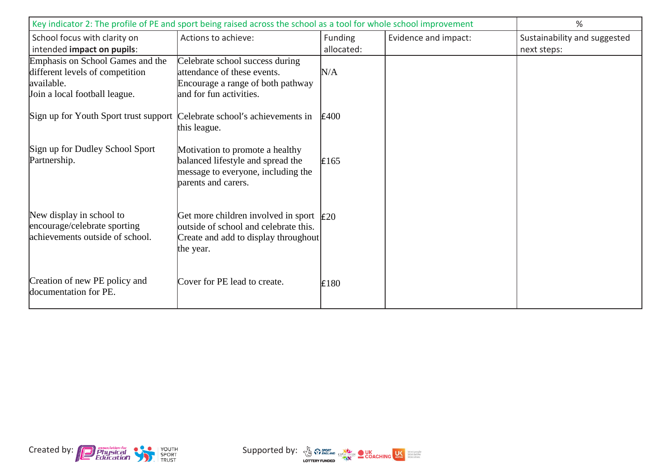| Key indicator 2: The profile of PE and sport being raised across the school as a tool for whole school improvement |                                                                                                                                               |            |                      | %                            |
|--------------------------------------------------------------------------------------------------------------------|-----------------------------------------------------------------------------------------------------------------------------------------------|------------|----------------------|------------------------------|
| School focus with clarity on                                                                                       | Actions to achieve:                                                                                                                           | Funding    | Evidence and impact: | Sustainability and suggested |
| intended impact on pupils:                                                                                         |                                                                                                                                               | allocated: |                      | next steps:                  |
| Emphasis on School Games and the<br>different levels of competition<br>available.<br>Join a local football league. | Celebrate school success during<br>attendance of these events.<br>Encourage a range of both pathway<br>and for fun activities.                | N/A        |                      |                              |
| Sign up for Youth Sport trust support Celebrate school's achievements in                                           | this league.                                                                                                                                  | E400       |                      |                              |
| Sign up for Dudley School Sport<br>Partnership.                                                                    | Motivation to promote a healthy<br>balanced lifestyle and spread the<br>message to everyone, including the<br>parents and carers.             | E165       |                      |                              |
| New display in school to<br>encourage/celebrate sporting<br>achievements outside of school.                        | Get more children involved in sport $\vert$ £20<br>outside of school and celebrate this.<br>Create and add to display throughout<br>the year. |            |                      |                              |
| Creation of new PE policy and<br>documentation for PE.                                                             | Cover for PE lead to create.                                                                                                                  | £180       |                      |                              |



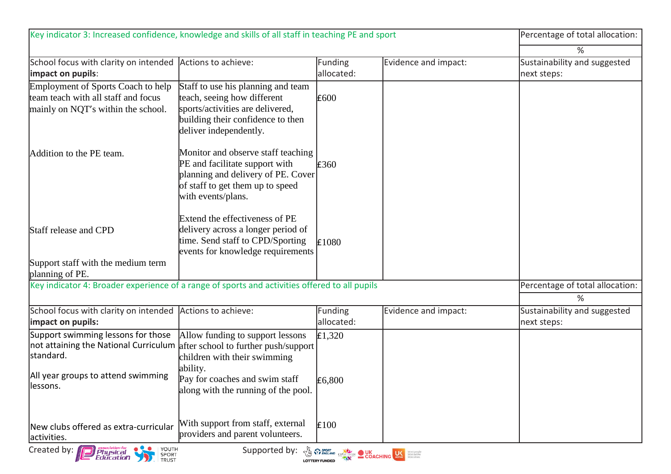| Key indicator 3: Increased confidence, knowledge and skills of all staff in teaching PE and sport               |                                                                                                                                                                      |                       | Percentage of total allocation: |                                                  |
|-----------------------------------------------------------------------------------------------------------------|----------------------------------------------------------------------------------------------------------------------------------------------------------------------|-----------------------|---------------------------------|--------------------------------------------------|
|                                                                                                                 |                                                                                                                                                                      |                       |                                 | %                                                |
| School focus with clarity on intended<br>impact on pupils:                                                      | Actions to achieve:                                                                                                                                                  | Funding<br>allocated: | Evidence and impact:            | Sustainability and suggested<br>next steps:      |
| Employment of Sports Coach to help<br>team teach with all staff and focus<br>mainly on NQT's within the school. | Staff to use his planning and team<br>teach, seeing how different<br>sports/activities are delivered,<br>building their confidence to then<br>deliver independently. | £600                  |                                 |                                                  |
| Addition to the PE team.                                                                                        | Monitor and observe staff teaching<br>PE and facilitate support with<br>planning and delivery of PE. Cover<br>of staff to get them up to speed<br>with events/plans. | E360                  |                                 |                                                  |
| Staff release and CPD                                                                                           | Extend the effectiveness of PE<br>delivery across a longer period of<br>time. Send staff to CPD/Sporting<br>events for knowledge requirements                        | £1080                 |                                 |                                                  |
| Support staff with the medium term<br>planning of PE.                                                           |                                                                                                                                                                      |                       |                                 |                                                  |
| Key indicator 4: Broader experience of a range of sports and activities offered to all pupils                   |                                                                                                                                                                      |                       |                                 | Percentage of total allocation:                  |
| School focus with clarity on intended<br>impact on pupils:                                                      | Actions to achieve:                                                                                                                                                  | Funding<br>allocated: | Evidence and impact:            | ℅<br>Sustainability and suggested<br>next steps: |
| Support swimming lessons for those<br>not attaining the National Curriculum<br>standard.                        | Allow funding to support lessons<br>after school to further push/support<br>children with their swimming                                                             | E1,320                |                                 |                                                  |
| All year groups to attend swimming<br>lessons.                                                                  | ability.<br>Pay for coaches and swim staff<br>along with the running of the pool.                                                                                    | £6,800                |                                 |                                                  |
| New clubs offered as extra-curricular<br>activities.                                                            | With support from staff, external<br>providers and parent volunteers.                                                                                                | £100                  |                                 |                                                  |
| Created by:<br>  YOUTH<br>Supported by: 3 Presence COACHING US STORE<br>Physical<br>Education<br>SPORT<br>TRUST |                                                                                                                                                                      |                       |                                 |                                                  |